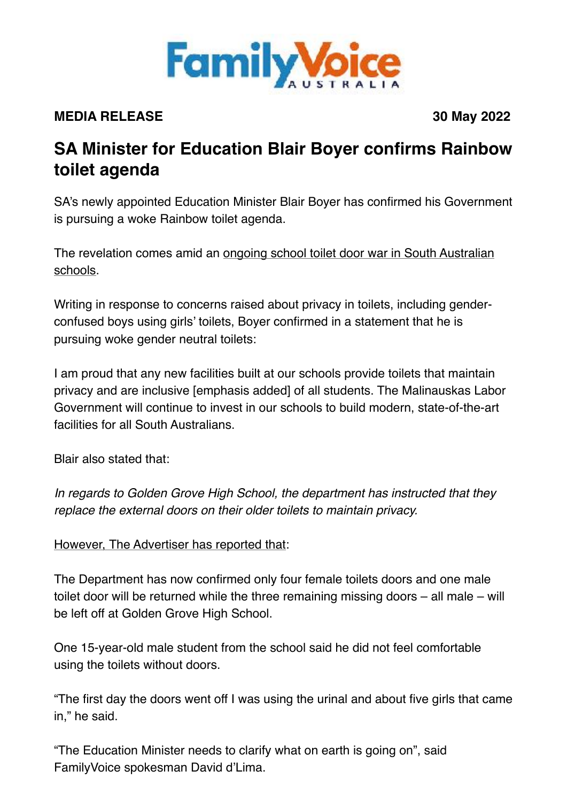

## **MEDIA RELEASE 30 May 2022**

## **SA Minister for Education Blair Boyer confirms Rainbow toilet agenda**

SA's newly appointed Education Minister Blair Boyer has confirmed his Government is pursuing a woke Rainbow toilet agenda.

The revelation comes amid an [ongoing school toilet door war in South Australian](https://www.adelaidenow.com.au/subscribe/news/1/?sourceCode=AAWEB_WRE170_a&dest=https://www.adelaidenow.com.au/messenger/north-northeast/modbury-high-school-reportedly-returning-doors-golden-grove-amid-refixing/news-story/1e3370551383c449211d4f8c345fbb8d&memtype=anonymous&mode=premium&v21=dynamic-cold-test-noscore&V21spcbehaviour=append)  [schools.](https://www.adelaidenow.com.au/subscribe/news/1/?sourceCode=AAWEB_WRE170_a&dest=https://www.adelaidenow.com.au/messenger/north-northeast/modbury-high-school-reportedly-returning-doors-golden-grove-amid-refixing/news-story/1e3370551383c449211d4f8c345fbb8d&memtype=anonymous&mode=premium&v21=dynamic-cold-test-noscore&V21spcbehaviour=append)

Writing in response to concerns raised about privacy in toilets, including genderconfused boys using girls' toilets, Boyer confirmed in a statement that he is pursuing woke gender neutral toilets:

I am proud that any new facilities built at our schools provide toilets that maintain privacy and are inclusive [emphasis added] of all students. The Malinauskas Labor Government will continue to invest in our schools to build modern, state-of-the-art facilities for all South Australians.

Blair also stated that:

*In regards to Golden Grove High School, the department has instructed that they replace the external doors on their older toilets to maintain privacy.*

However, The Advertiser [has reported that](https://www.adelaidenow.com.au/subscribe/news/1/?sourceCode=AAWEB_WRE170_a&dest=https://www.adelaidenow.com.au/messenger/north-northeast/modbury-high-school-reportedly-returning-doors-golden-grove-amid-refixing/news-story/1e3370551383c449211d4f8c345fbb8d&memtype=anonymous&mode=premium&v21=dynamic-cold-test-noscore&V21spcbehaviour=append):

The Department has now confirmed only four female toilets doors and one male toilet door will be returned while the three remaining missing doors – all male – will be left off at Golden Grove High School.

One 15-year-old male student from the school said he did not feel comfortable using the toilets without doors.

"The first day the doors went off I was using the urinal and about five girls that came in," he said.

"The Education Minister needs to clarify what on earth is going on", said FamilyVoice spokesman David d'Lima.